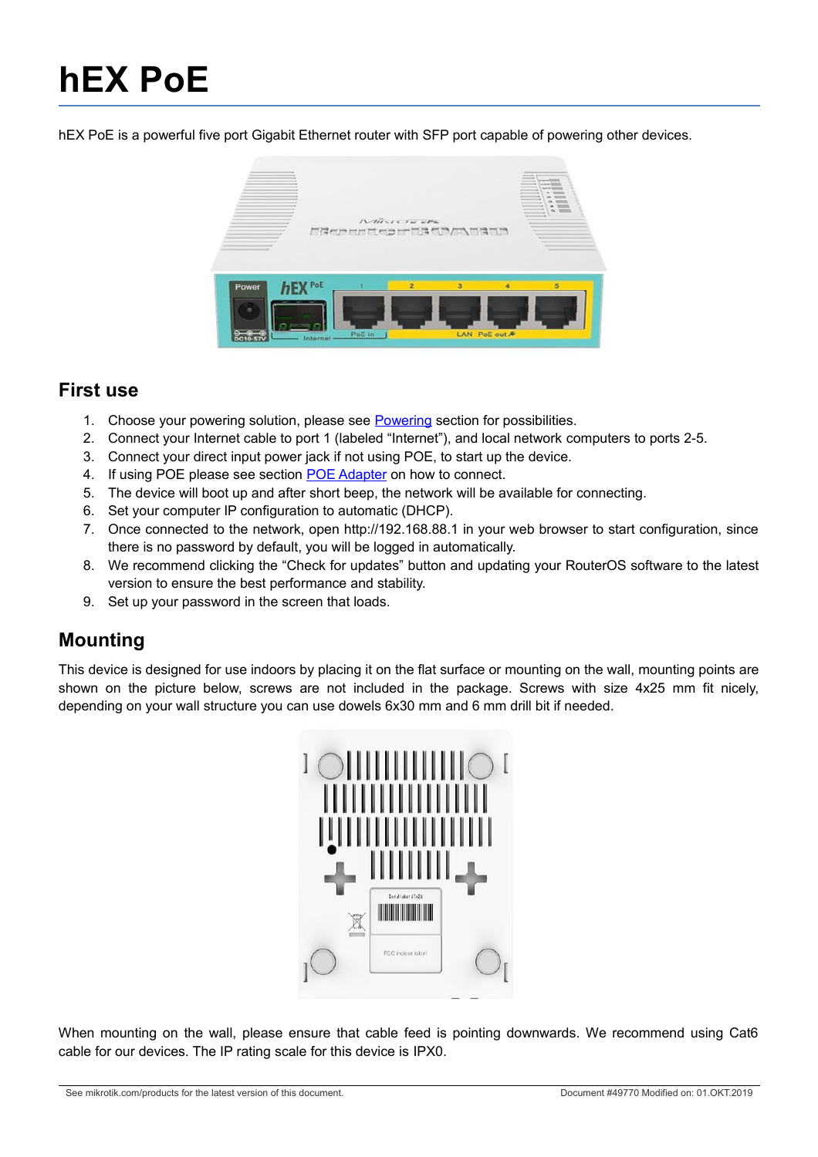# **hEX PoE**

hEX PoE is a powerful five port Gigabit Ethernet router with SFP port capable of powering other devices.



#### **First use**

- 1. Choose your powering solution, please see [Powering](#page-1-0) section for possibilities.
- 2. Connect your Internet cable to port 1 (labeled "Internet"), and local network computers to ports 2-5.
- 3. Connect your direct input power jack if not using POE, to start up the device.
- 4. If using POE please see section [POE Adapter](#page-1-1) on how to connect.
- 5. The device will boot up and after short beep, the network will be available for connecting.
- 6. Set your computer IP configuration to automatic (DHCP).
- 7. Once connected to the network, open http://192.168.88.1 in your web browser to start configuration, since there is no password by default, you will be logged in automatically.
- 8. We recommend clicking the "Check for updates" button and updating your RouterOS software to the latest version to ensure the best performance and stability.
- 9. Set up your password in the screen that loads.

## **Mounting**

This device is designed for use indoors by placing it on the flat surface or mounting on the wall, mounting points are shown on the picture below, screws are not included in the package. Screws with size 4x25 mm fit nicely, depending on your wall structure you can use dowels 6x30 mm and 6 mm drill bit if needed.



When mounting on the wall, please ensure that cable feed is pointing downwards. We recommend using Cat6 cable for our devices. The IP rating scale for this device is IPX0.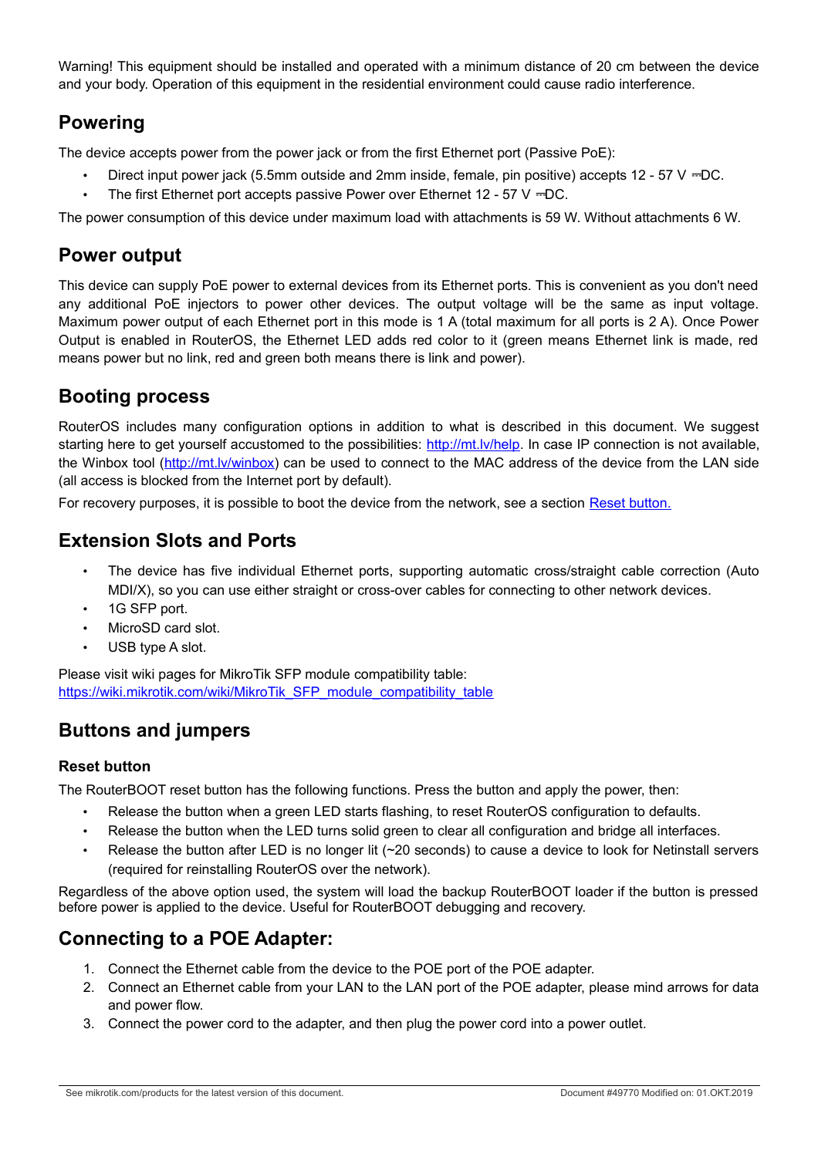Warning! This equipment should be installed and operated with a minimum distance of 20 cm between the device and your body. Operation of this equipment in the residential environment could cause radio interference.

#### <span id="page-1-0"></span>**Powering**

The device accepts power from the power jack or from the first Ethernet port (Passive PoE):

- Direct input power jack (5.5mm outside and 2mm inside, female, pin positive) accepts 12 57 V ⎓DC.
- The first Ethernet port accepts passive Power over Ethernet 12 57 V = DC.

The power consumption of this device under maximum load with attachments is 59 W. Without attachments 6 W.

#### **Power output**

This device can supply PoE power to external devices from its Ethernet ports. This is convenient as you don't need any additional PoE injectors to power other devices. The output voltage will be the same as input voltage. Maximum power output of each Ethernet port in this mode is 1 A (total maximum for all ports is 2 A). Once Power Output is enabled in RouterOS, the Ethernet LED adds red color to it (green means Ethernet link is made, red means power but no link, red and green both means there is link and power).

#### **Booting process**

RouterOS includes many configuration options in addition to what is described in this document. We suggest starting here to get yourself accustomed to the possibilities: http://mt.ly/help. In case IP connection is not available. the Winbox tool [\(http://mt.lv/winbox\)](http://mt.lv/winbox) can be used to connect to the MAC address of the device from the LAN side (all access is blocked from the Internet port by default).

For recovery purposes, it is possible to boot the device from the network, see a section [Reset button.](#page-1-2)

## **Extension Slots and Ports**

- The device has five individual Ethernet ports, supporting automatic cross/straight cable correction (Auto MDI/X), so you can use either straight or cross-over cables for connecting to other network devices.
- 1G SFP port.
- MicroSD card slot.
- USB type A slot.

Please visit wiki pages for MikroTik SFP module compatibility table: [https://wiki.mikrotik.com/wiki/MikroTik\\_SFP\\_module\\_compatibility\\_table](https://wiki.mikrotik.com/wiki/MikroTik_SFP_module_compatibility_table)

## **Buttons and jumpers**

#### <span id="page-1-2"></span>**Reset button**

The RouterBOOT reset button has the following functions. Press the button and apply the power, then:

- Release the button when a green LED starts flashing, to reset RouterOS configuration to defaults.
- Release the button when the LED turns solid green to clear all configuration and bridge all interfaces.
- Release the button after LED is no longer lit (~20 seconds) to cause a device to look for Netinstall servers (required for reinstalling RouterOS over the network).

Regardless of the above option used, the system will load the backup RouterBOOT loader if the button is pressed before power is applied to the device. Useful for RouterBOOT debugging and recovery.

## <span id="page-1-1"></span>**Connecting to a POE Adapter:**

- 1. Connect the Ethernet cable from the device to the POE port of the POE adapter.
- 2. Connect an Ethernet cable from your LAN to the LAN port of the POE adapter, please mind arrows for data and power flow.
- 3. Connect the power cord to the adapter, and then plug the power cord into a power outlet.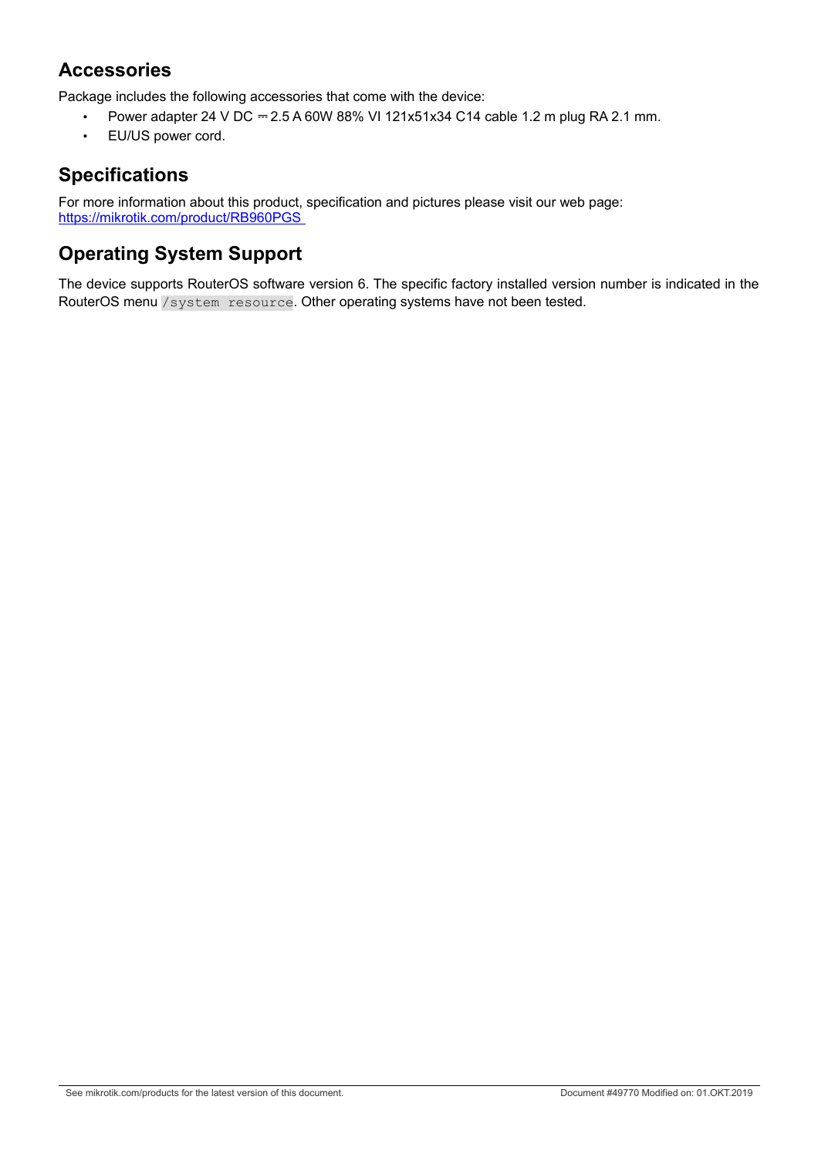## **Accessories**

Package includes the following accessories that come with the device:

- Power adapter 24 V DC  $= 2.5 A 60W 88%$  VI 121x51x34 C14 cable 1.2 m plug RA 2.1 mm.
- EU/US power cord.

#### **Specifications**

For more information about this product, specification and pictures please visit our web page: <https://mikrotik.com/product/RB960PGS>

# **Operating System Support**

The device supports RouterOS software version 6. The specific factory installed version number is indicated in the RouterOS menu /system resource. Other operating systems have not been tested.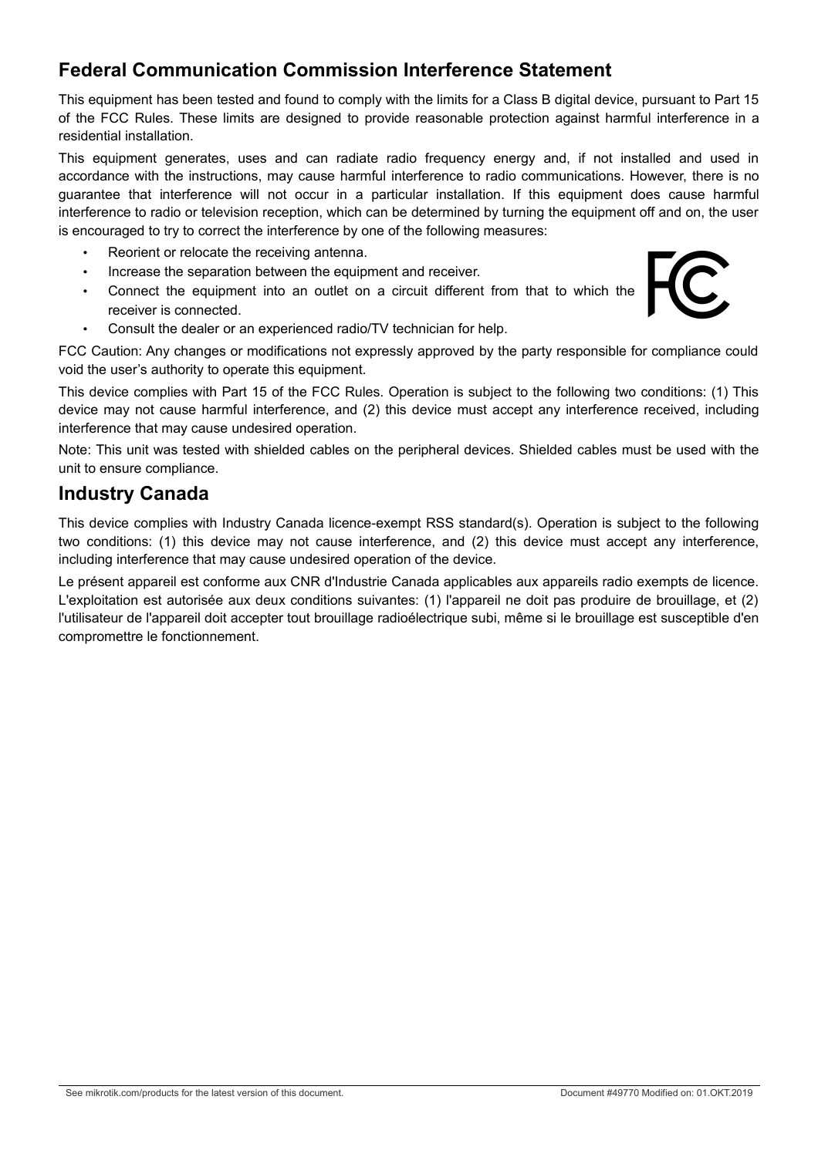# **Federal Communication Commission Interference Statement**

This equipment has been tested and found to comply with the limits for a Class B digital device, pursuant to Part 15 of the FCC Rules. These limits are designed to provide reasonable protection against harmful interference in a residential installation.

This equipment generates, uses and can radiate radio frequency energy and, if not installed and used in accordance with the instructions, may cause harmful interference to radio communications. However, there is no guarantee that interference will not occur in a particular installation. If this equipment does cause harmful interference to radio or television reception, which can be determined by turning the equipment off and on, the user is encouraged to try to correct the interference by one of the following measures:

- Reorient or relocate the receiving antenna.
- Increase the separation between the equipment and receiver.
- Connect the equipment into an outlet on a circuit different from that to which the receiver is connected.
- Consult the dealer or an experienced radio/TV technician for help.

FCC Caution: Any changes or modifications not expressly approved by the party responsible for compliance could void the user's authority to operate this equipment.

This device complies with Part 15 of the FCC Rules. Operation is subject to the following two conditions: (1) This device may not cause harmful interference, and (2) this device must accept any interference received, including interference that may cause undesired operation.

Note: This unit was tested with shielded cables on the peripheral devices. Shielded cables must be used with the unit to ensure compliance.

#### **Industry Canada**

This device complies with Industry Canada licence-exempt RSS standard(s). Operation is subject to the following two conditions: (1) this device may not cause interference, and (2) this device must accept any interference, including interference that may cause undesired operation of the device.

Le présent appareil est conforme aux CNR d'Industrie Canada applicables aux appareils radio exempts de licence. L'exploitation est autorisée aux deux conditions suivantes: (1) l'appareil ne doit pas produire de brouillage, et (2) l'utilisateur de l'appareil doit accepter tout brouillage radioélectrique subi, même si le brouillage est susceptible d'en compromettre le fonctionnement.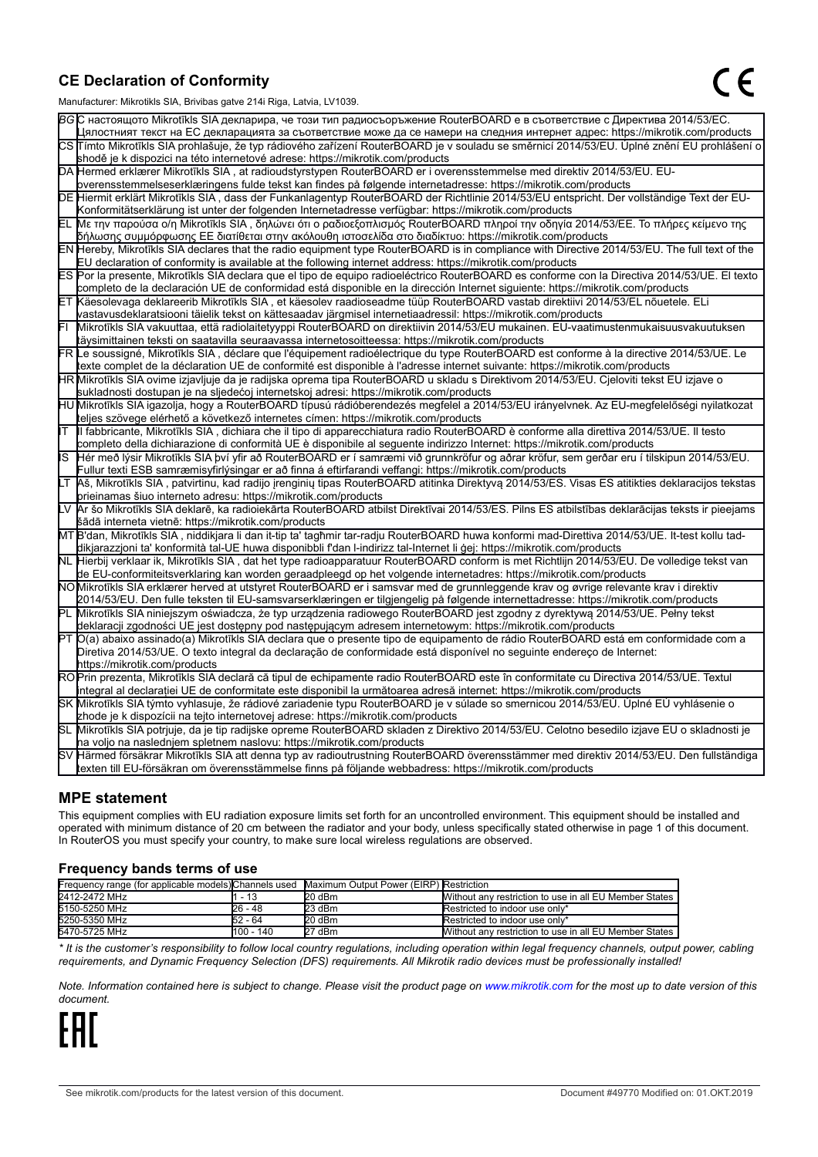#### **CE Declaration of Conformity**

Manufacturer: Mikrotikls SIA, Brivibas gatve 214i Riga, Latvia, LV1039.

|    | ividi iulacturei . Iviiki olikis OIA, Ditvibas yatve ZT41 Nya, Latvia, Lv 1009                                                                                                                                                              |
|----|---------------------------------------------------------------------------------------------------------------------------------------------------------------------------------------------------------------------------------------------|
|    | ВСС настоящото Mikrotīkls SIA декларира, че този тип радиосъоръжение RouterBOARD е в съответствие с Директива 2014/53/EC.                                                                                                                   |
|    | Цялостният текст на ЕС декларацията за съответствие може да се намери на следния интернет адрес: https://mikrotik.com/products                                                                                                              |
|    | CS Tímto Mikrotīkls SIA prohlašuje, že typ rádiového zařízení RouterBOARD je v souladu se směrnicí 2014/53/EU. Úplné znění EU prohlášení o                                                                                                  |
|    | shodě je k dispozici na této internetové adrese: https://mikrotik.com/products                                                                                                                                                              |
|    | DA Hermed erklærer Mikrotīkls SIA, at radioudstyrstypen RouterBOARD er i overensstemmelse med direktiv 2014/53/EU. EU-                                                                                                                      |
|    | overensstemmelseserklæringens fulde tekst kan findes på følgende internetadresse: https://mikrotik.com/products                                                                                                                             |
|    | DE Hiermit erklärt Mikrotīkls SIA, dass der Funkanlagentyp RouterBOARD der Richtlinie 2014/53/EU entspricht. Der vollständige Text der EU-                                                                                                  |
|    | Konformitätserklärung ist unter der folgenden Internetadresse verfügbar: https://mikrotik.com/products                                                                                                                                      |
| EL | Με την παρούσα ο/η Mikrotīkls SIA, δηλώνει ότι ο ραδιοεξοπλισμός RouterBOARD πληροί την οδηγία 2014/53/ΕΕ. Το πλήρες κείμενο της<br>δήλωσης συμμόρφωσης ΕΕ διατίθεται στην ακόλουθη ιστοσελίδα στο διαδίκτυο: https://mikrotik.com/products |
|    | EN Hereby, Mikrotīkls SIA declares that the radio equipment type RouterBOARD is in compliance with Directive 2014/53/EU. The full text of the                                                                                               |
|    | EU declaration of conformity is available at the following internet address: https://mikrotik.com/products                                                                                                                                  |
|    | ES Por la presente, Mikrotīkls SIA declara que el tipo de equipo radioeléctrico RouterBOARD es conforme con la Directiva 2014/53/UE. El texto                                                                                               |
|    | completo de la declaración UE de conformidad está disponible en la dirección Internet siguiente: https://mikrotik.com/products                                                                                                              |
|    | ET Käesolevaga deklareerib Mikrotīkls SIA, et käesolev raadioseadme tüüp RouterBOARD vastab direktiivi 2014/53/EL nõuetele. ELi                                                                                                             |
|    | vastavusdeklaratsiooni täielik tekst on kättesaadav järgmisel internetiaadressil: https://mikrotik.com/products                                                                                                                             |
|    | Mikrotīkls SIA vakuuttaa, että radiolaitetyyppi RouterBOARD on direktiivin 2014/53/EU mukainen. EU-vaatimustenmukaisuusvakuutuksen                                                                                                          |
|    | täysimittainen teksti on saatavilla seuraavassa internetosoitteessa: https://mikrotik.com/products                                                                                                                                          |
|    | FR Le soussigné, Mikrotīkls SIA , déclare que l'équipement radioélectrique du type RouterBOARD est conforme à la directive 2014/53/UE. Le                                                                                                   |
|    | texte complet de la déclaration UE de conformité est disponible à l'adresse internet suivante: https://mikrotik.com/products                                                                                                                |
|    | HR∭likrotīkls SIA ovime izjavljuje da je radijska oprema tipa RouterBOARD u skladu s Direktivom 2014/53/EU. Cjeloviti tekst EU izjave o                                                                                                     |
|    | sukladnosti dostupan je na sljedećoj internetskoj adresi: https://mikrotik.com/products                                                                                                                                                     |
|    | HU Mikrotīkls SIA igazolja, hogy a RouterBOARD típusú rádióberendezés megfelel a 2014/53/EU irányelvnek. Az EU-megfelelőségi nyilatkozat                                                                                                    |
|    | teljes szövege elérhető a következő internetes címen: https://mikrotik.com/products                                                                                                                                                         |
| lΓ | Ill fabbricante, Mikrotīkls SIA, dichiara che il tipo di apparecchiatura radio RouterBOARD è conforme alla direttiva 2014/53/UE. Il testo                                                                                                   |
|    | completo della dichiarazione di conformità UE è disponibile al seguente indirizzo Internet: https://mikrotik.com/products                                                                                                                   |
| IS | Hér með lýsir Mikrotīkls SIA því yfir að RouterBOARD er í samræmi við grunnkröfur og aðrar kröfur, sem gerðar eru í tilskipun 2014/53/EU.                                                                                                   |
|    | Fullur texti ESB samræmisyfirlýsingar er að finna á eftirfarandi veffangi: https://mikrotik.com/products                                                                                                                                    |
| LТ | Aš, Mikrotīkls SIA, patvirtinu, kad radijo įrenginių tipas RouterBOARD atitinka Direktyvą 2014/53/ES. Visas ES atitikties deklaracijos tekstas                                                                                              |
|    | prieinamas šiuo interneto adresu: https://mikrotik.com/products                                                                                                                                                                             |
|    | Ar šo Mikrotīkls SIA deklarē, ka radioiekārta RouterBOARD atbilst Direktīvai 2014/53/ES. Pilns ES atbilstības deklarācijas teksts ir pieejams                                                                                               |
|    | šādā interneta vietnē: https://mikrotik.com/products                                                                                                                                                                                        |
|    | MT B'dan, Mikrotīkls SIA , niddikjara li dan it-tip ta' tagħmir tar-radju RouterBOARD huwa konformi mad-Direttiva 2014/53/UE. It-test kollu tad-                                                                                            |
|    | dikjarazzjoni ta' konformità tal-UE huwa disponibbli f'dan l-indirizz tal-Internet li ġej: https://mikrotik.com/products                                                                                                                    |
|    | NL  Hierbij verklaar ik, Mikrotīkls SIA , dat het type radioapparatuur RouterBOARD conform is met Richtlijn 2014/53/EU. De volledige tekst van                                                                                              |
|    | de EU-conformiteitsverklaring kan worden geraadpleegd op het volgende internetadres: https://mikrotik.com/products                                                                                                                          |
|    | NOMikrotīkls SIA erklærer herved at utstyret RouterBOARD er i samsvar med de grunnleggende krav og øvrige relevante krav i direktiv                                                                                                         |
|    | 2014/53/EU. Den fulle teksten til EU-samsvarserklæringen er tilgjengelig på følgende internettadresse: https://mikrotik.com/products                                                                                                        |
| ĒΓ | Mikrotīkls SIA niniejszym oświadcza, że typ urządzenia radiowego RouterBOARD jest zgodny z dyrektywą 2014/53/UE. Pełny tekst                                                                                                                |
|    | deklaracji zgodności UE jest dostępny pod następującym adresem internetowym: https://mikrotik.com/products                                                                                                                                  |
|    | PT O(a) abaixo assinado(a) Mikrotīkls SIA declara que o presente tipo de equipamento de rádio RouterBOARD está em conformidade com a                                                                                                        |
|    | Diretiva 2014/53/UE. O texto integral da declaração de conformidade está disponível no seguinte endereço de Internet:                                                                                                                       |
|    | https://mikrotik.com/products                                                                                                                                                                                                               |
|    | ROPrin prezenta, Mikrotīkls SIA declară că tipul de echipamente radio RouterBOARD este în conformitate cu Directiva 2014/53/UE. Textul                                                                                                      |
|    | integral al declarației UE de conformitate este disponibil la următoarea adresă internet: https://mikrotik.com/products                                                                                                                     |
|    | SK Mikrotīkls SIA týmto vyhlasuje, že rádiové zariadenie typu RouterBOARD je v súlade so smernicou 2014/53/EÚ. Úplné EÚ vyhlásenie o                                                                                                        |
|    | zhode je k dispozícii na tejto internetovej adrese: https://mikrotik.com/products                                                                                                                                                           |
|    | SL Mikrotīkls SIA potrjuje, da je tip radijske opreme RouterBOARD skladen z Direktivo 2014/53/EU. Celotno besedilo izjave EU o skladnosti je                                                                                                |
|    | na voljo na naslednjem spletnem naslovu: https://mikrotik.com/products                                                                                                                                                                      |
|    | SV Härmed försäkrar Mikrotīkls SIA att denna typ av radioutrustning RouterBOARD överensstämmer med direktiv 2014/53/EU. Den fullständiga                                                                                                    |
|    | texten till EU-försäkran om överensstämmelse finns på följande webbadress: https://mikrotik.com/products                                                                                                                                    |

#### **MPE statement**

This equipment complies with EU radiation exposure limits set forth for an uncontrolled environment. This equipment should be installed and operated with minimum distance of 20 cm between the radiator and your body, unless specifically stated otherwise in page 1 of this document. In RouterOS you must specify your country, to make sure local wireless regulations are observed.

#### **Frequency bands terms of use**

| Frequency range (for applicable models) Channels used Maximum Output Power (EIRP) Restriction |           |        |                                                        |
|-----------------------------------------------------------------------------------------------|-----------|--------|--------------------------------------------------------|
| 2412-2472 MHz                                                                                 | - 13      | 20 dBm | Without any restriction to use in all EU Member States |
| 5150-5250 MHz                                                                                 | 26 - 48   | 23 dBm | Restricted to indoor use only*                         |
| 5250-5350 MHz                                                                                 | 52 - 64   | 20 dBm | Restricted to indoor use only*                         |
| 5470-5725 MHz                                                                                 | 100 - 140 | 27 dBm | Without any restriction to use in all EU Member States |

*\* It is the customer's responsibility to follow local country regulations, including operation within legal frequency channels, output power, cabling requirements, and Dynamic Frequency Selection (DFS) requirements. All Mikrotik radio devices must be professionally installed!*

*Note. Information contained here is subject to change. Please visit the product page on [www.mikrotik.com](http://www.mikrotik.com/) for the most up to date version of this document.*